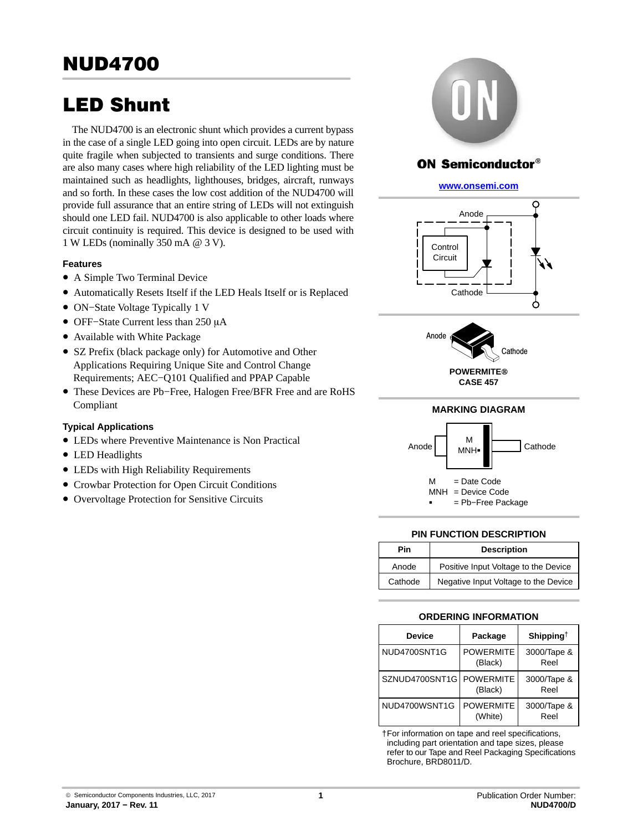# LED Shunt

The NUD4700 is an electronic shunt which provides a current bypass in the case of a single LED going into open circuit. LEDs are by nature quite fragile when subjected to transients and surge conditions. There are also many cases where high reliability of the LED lighting must be maintained such as headlights, lighthouses, bridges, aircraft, runways and so forth. In these cases the low cost addition of the NUD4700 will provide full assurance that an entire string of LEDs will not extinguish should one LED fail. NUD4700 is also applicable to other loads where circuit continuity is required. This device is designed to be used with 1 W LEDs (nominally 350 mA @ 3 V).

# **Features**

- A Simple Two Terminal Device
- Automatically Resets Itself if the LED Heals Itself or is Replaced
- ON−State Voltage Typically 1 V
- OFF-State Current less than 250 μA
- Available with White Package
- SZ Prefix (black package only) for Automotive and Other Applications Requiring Unique Site and Control Change Requirements; AEC−Q101 Qualified and PPAP Capable
- These Devices are Pb−Free, Halogen Free/BFR Free and are RoHS Compliant

# **Typical Applications**

- LEDs where Preventive Maintenance is Non Practical
- LED Headlights
- LEDs with High Reliability Requirements
- Crowbar Protection for Open Circuit Conditions
- Overvoltage Protection for Sensitive Circuits



# **ON Semiconductor®**

## **[www.onsemi.com]( http://www.onsemi.com/)**





# **MARKING DIAGRAM**



# **PIN FUNCTION DESCRIPTION**

| Pin     | <b>Description</b>                   |  |  |  |  |
|---------|--------------------------------------|--|--|--|--|
| Anode   | Positive Input Voltage to the Device |  |  |  |  |
| Cathode | Negative Input Voltage to the Device |  |  |  |  |

# **ORDERING INFORMATION**

| <b>Device</b>  | Package                     | Shipping <sup><math>\dagger</math></sup> |
|----------------|-----------------------------|------------------------------------------|
| NUD4700SNT1G   | <b>POWERMITE</b><br>(Black) | 3000/Tape &<br>Reel                      |
| SZNUD4700SNT1G | <b>POWERMITE</b><br>(Black) | 3000/Tape &<br>Reel                      |
| NUD4700WSNT1G  | <b>POWERMITE</b><br>(White) | 3000/Tape &<br>Reel                      |

†For information on tape and reel specifications, including part orientation and tape sizes, please refer to our Tape and Reel Packaging Specifications Brochure, BRD8011/D.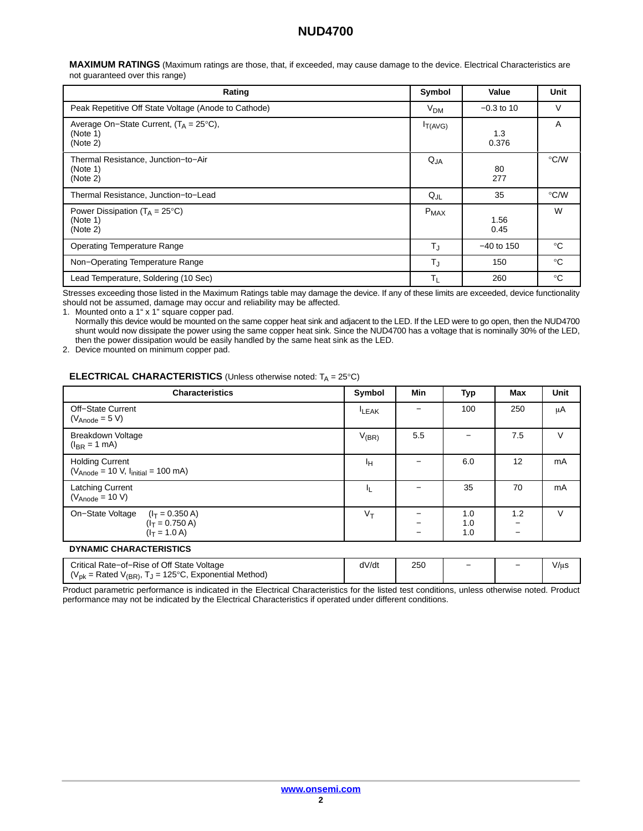**MAXIMUM RATINGS** (Maximum ratings are those, that, if exceeded, may cause damage to the device. Electrical Characteristics are not guaranteed over this range)

| Rating                                                                    | Symbol          | Value        | Unit          |
|---------------------------------------------------------------------------|-----------------|--------------|---------------|
| Peak Repetitive Off State Voltage (Anode to Cathode)                      | V <sub>DM</sub> | $-0.3$ to 10 | V             |
| Average On–State Current, $(T_A = 25^{\circ}C)$ ,<br>(Note 1)<br>(Note 2) | $I_{T(AVG)}$    | 1.3<br>0.376 | A             |
| Thermal Resistance, Junction-to-Air<br>(Note 1)<br>(Note 2)               | $Q_{JA}$        | 80<br>277    | °C/W          |
| Thermal Resistance, Junction-to-Lead                                      | $Q_{JL}$        | 35           | $\degree$ C/W |
| Power Dissipation ( $T_A = 25^{\circ}C$ )<br>(Note 1)<br>(Note 2)         | $P_{MAX}$       | 1.56<br>0.45 | W             |
| <b>Operating Temperature Range</b>                                        | $T_{\text{J}}$  | $-40$ to 150 | $^{\circ}C$   |
| Non-Operating Temperature Range                                           | $T_{\rm J}$     | 150          | $^{\circ}C$   |
| Lead Temperature, Soldering (10 Sec)                                      | $T_L$           | 260          | $^{\circ}$ C  |

Stresses exceeding those listed in the Maximum Ratings table may damage the device. If any of these limits are exceeded, device functionality should not be assumed, damage may occur and reliability may be affected.

1. Mounted onto a 1" x 1" square copper pad.

Normally this device would be mounted on the same copper heat sink and adjacent to the LED. If the LED were to go open, then the NUD4700 shunt would now dissipate the power using the same copper heat sink. Since the NUD4700 has a voltage that is nominally 30% of the LED, then the power dissipation would be easily handled by the same heat sink as the LED.

2. Device mounted on minimum copper pad.

### **ELECTRICAL CHARACTERISTICS** (Unless otherwise noted: T<sub>A</sub> = 25°C)

| <b>Characteristics</b>                                                        | Symbol      | Min                      | Typ               | <b>Max</b> | Unit   |
|-------------------------------------------------------------------------------|-------------|--------------------------|-------------------|------------|--------|
| Off-State Current<br>$(V_{Anode} = 5 V)$                                      | <b>LEAK</b> |                          | 100               | 250        | μA     |
| Breakdown Voltage<br>$(I_{BR} = 1$ mA)                                        | $V_{(BR)}$  | 5.5                      |                   | 7.5        | V      |
| <b>Holding Current</b><br>$(V_{Anode} = 10 V, Iinitial = 100 mA)$             | ŀн          |                          | 6.0               | 12         | mA     |
| Latching Current<br>$(V_{Anode} = 10 V)$                                      | ΙL.         |                          | 35                | 70         | mA     |
| On-State Voltage<br>$(I_T = 0.350 A)$<br>$(I_T = 0.750 A)$<br>$(I_T = 1.0 A)$ | $V_T$       | $\overline{\phantom{0}}$ | 1.0<br>1.0<br>1.0 | 1.2        | $\vee$ |

### **DYNAMIC CHARACTERISTICS**

| Critical Rate-of-Rise of Off State Voltage                                 | dV/dt | 250 | - | - | V/µS |
|----------------------------------------------------------------------------|-------|-----|---|---|------|
| ( $V_{\text{pk}}$ = Rated V<br>$L_1$ = 125°C, Exponential Method)<br>V(BR) |       |     |   |   |      |

Product parametric performance is indicated in the Electrical Characteristics for the listed test conditions, unless otherwise noted. Product performance may not be indicated by the Electrical Characteristics if operated under different conditions.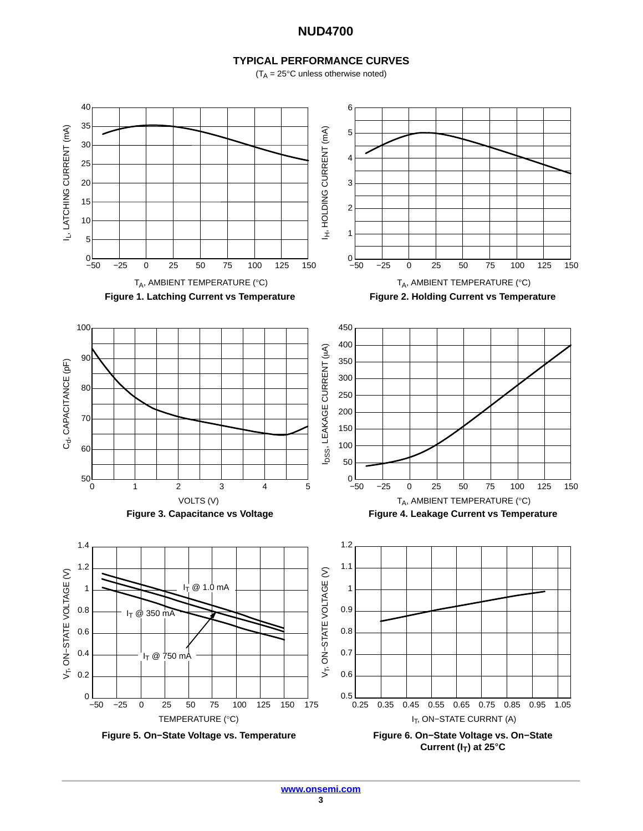# **TYPICAL PERFORMANCE CURVES**

 $(T_A = 25^{\circ}$ C unless otherwise noted)

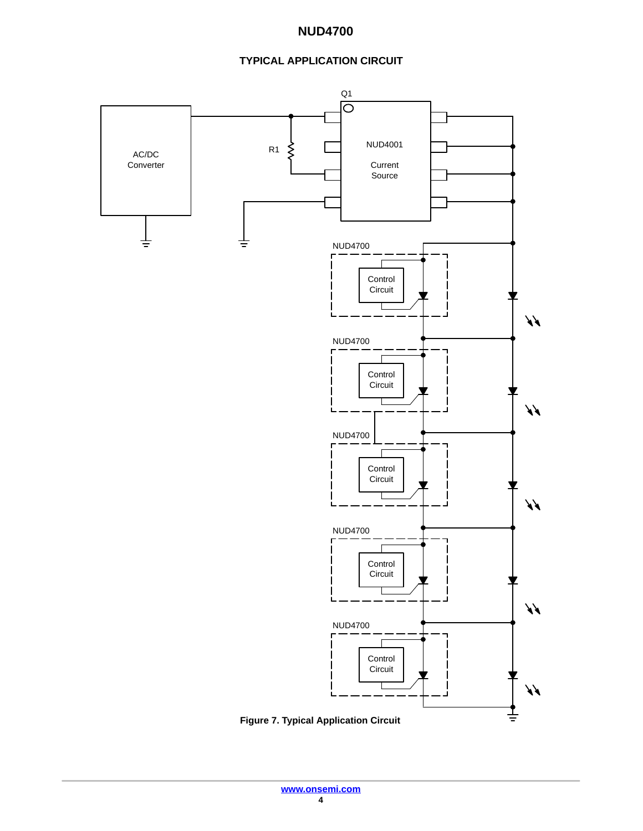# **TYPICAL APPLICATION CIRCUIT**

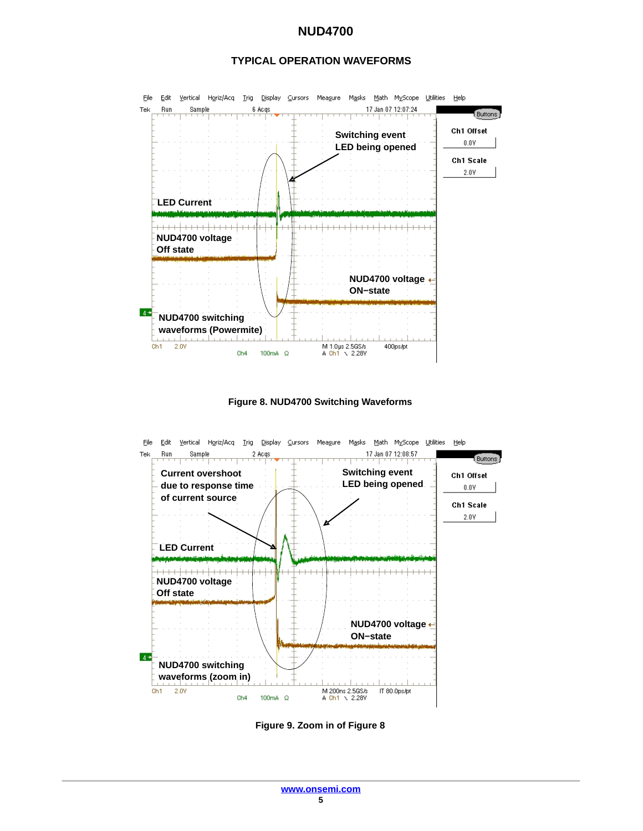



**Figure 8. NUD4700 Switching Waveforms**



**Figure 9. Zoom in of Figure 8**